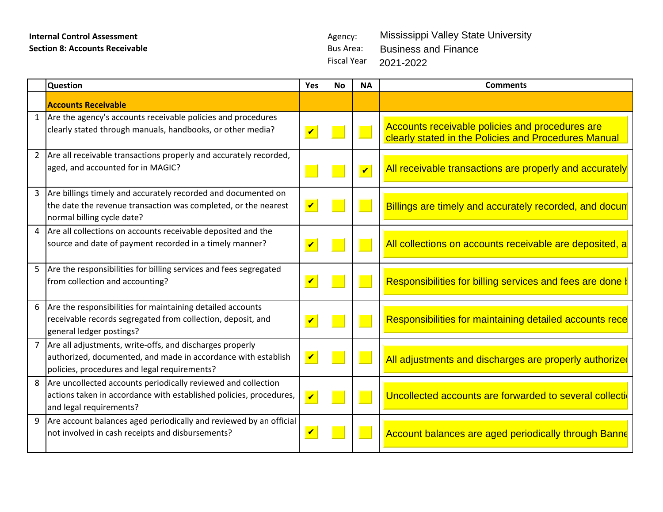# **Internal Control Assessment** Agency: **Section 8: Accounts Receivable Bus Area: Bus Area: Bus Area:**

Fiscal Year 2021-2022Mississippi Valley State University Business and Finance

|                 | <b>Question</b>                                                                                                                                                           | Yes                  | No | <b>NA</b> | <b>Comments</b>                                                                                         |
|-----------------|---------------------------------------------------------------------------------------------------------------------------------------------------------------------------|----------------------|----|-----------|---------------------------------------------------------------------------------------------------------|
|                 | <b>Accounts Receivable</b>                                                                                                                                                |                      |    |           |                                                                                                         |
|                 | Are the agency's accounts receivable policies and procedures<br>clearly stated through manuals, handbooks, or other media?                                                | $\blacktriangledown$ |    |           | Accounts receivable policies and procedures are<br>clearly stated in the Policies and Procedures Manual |
|                 | Are all receivable transactions properly and accurately recorded,<br>aged, and accounted for in MAGIC?                                                                    |                      |    |           | All receivable transactions are properly and accurately                                                 |
| $\overline{3}$  | Are billings timely and accurately recorded and documented on<br>the date the revenue transaction was completed, or the nearest<br>normal billing cycle date?             |                      |    |           | Billings are timely and accurately recorded, and docun                                                  |
|                 | Are all collections on accounts receivable deposited and the<br>source and date of payment recorded in a timely manner?                                                   | $\mathbf{v}$         |    |           | All collections on accounts receivable are deposited, a                                                 |
|                 | Are the responsibilities for billing services and fees segregated<br>from collection and accounting?                                                                      | $\mathbf{v}$         |    |           | Responsibilities for billing services and fees are done t                                               |
| $6\overline{6}$ | Are the responsibilities for maintaining detailed accounts<br>receivable records segregated from collection, deposit, and<br>general ledger postings?                     | $\blacktriangledown$ |    |           | Responsibilities for maintaining detailed accounts rece                                                 |
|                 | Are all adjustments, write-offs, and discharges properly<br>authorized, documented, and made in accordance with establish<br>policies, procedures and legal requirements? |                      |    |           | All adjustments and discharges are properly authorized                                                  |
|                 | 8 Are uncollected accounts periodically reviewed and collection<br>actions taken in accordance with established policies, procedures,<br>and legal requirements?          |                      |    |           | Uncollected accounts are forwarded to several collecti                                                  |
| 9               | Are account balances aged periodically and reviewed by an official<br>not involved in cash receipts and disbursements?                                                    |                      |    |           | Account balances are aged periodically through Banne                                                    |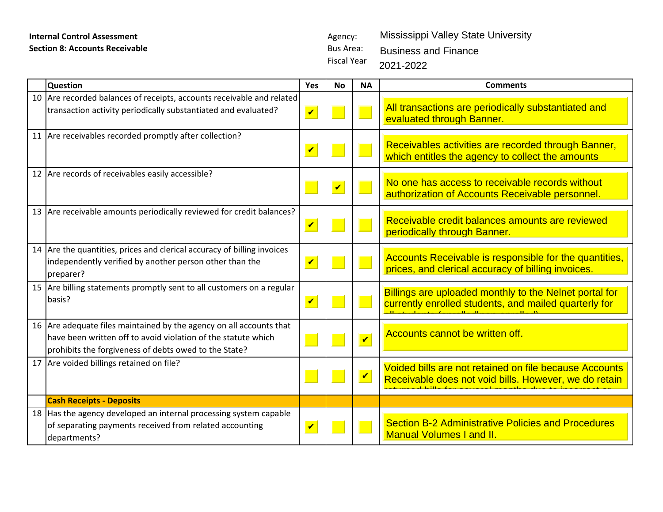# **Internal Control Assessment** Agency: **Section 8: Accounts Receivable Bus Area: Bus Area: Bus Area: Bus Area: Bus Area:**

|    | <b>Internal Control Assessment</b>                                                                                                                                                            |                         | Agency:                                |                         | Mississippi Valley State University                                                                             |
|----|-----------------------------------------------------------------------------------------------------------------------------------------------------------------------------------------------|-------------------------|----------------------------------------|-------------------------|-----------------------------------------------------------------------------------------------------------------|
|    | <b>Section 8: Accounts Receivable</b>                                                                                                                                                         |                         | <b>Bus Area:</b><br><b>Fiscal Year</b> |                         | <b>Business and Finance</b><br>2021-2022                                                                        |
|    | <b>Question</b>                                                                                                                                                                               | <b>Yes</b>              | <b>No</b>                              | <b>NA</b>               | <b>Comments</b>                                                                                                 |
| 10 | Are recorded balances of receipts, accounts receivable and related<br>transaction activity periodically substantiated and evaluated?                                                          | $\blacktriangledown$    |                                        |                         | All transactions are periodically substantiated and<br>evaluated through Banner.                                |
|    | 11 Are receivables recorded promptly after collection?                                                                                                                                        | $\overline{\mathbf{v}}$ |                                        |                         | Receivables activities are recorded through Banner,<br>which entitles the agency to collect the amounts         |
|    | 12 Are records of receivables easily accessible?                                                                                                                                              |                         | $\blacktriangledown$                   |                         | No one has access to receivable records without<br>authorization of Accounts Receivable personnel.              |
|    | 13 Are receivable amounts periodically reviewed for credit balances?                                                                                                                          | $\blacktriangledown$    |                                        |                         | Receivable credit balances amounts are reviewed<br>periodically through Banner.                                 |
| 14 | Are the quantities, prices and clerical accuracy of billing invoices<br>independently verified by another person other than the<br>preparer?                                                  | $\blacktriangledown$    |                                        |                         | Accounts Receivable is responsible for the quantities,<br>prices, and clerical accuracy of billing invoices.    |
|    | 15 Are billing statements promptly sent to all customers on a regular<br>basis?                                                                                                               | $\overline{\mathbf{v}}$ |                                        |                         | Billings are uploaded monthly to the Nelnet portal for<br>currently enrolled students, and mailed quarterly for |
|    | 16 Are adequate files maintained by the agency on all accounts that<br>have been written off to avoid violation of the statute which<br>prohibits the forgiveness of debts owed to the State? |                         |                                        | $\overline{\mathbf{v}}$ | Accounts cannot be written off.                                                                                 |
|    | 17   Are voided billings retained on file?                                                                                                                                                    |                         |                                        | $\mathbf{v}$            | Voided bills are not retained on file because Accounts<br>Receivable does not void bills. However, we do retain |
|    | <b>Cash Receipts - Deposits</b>                                                                                                                                                               |                         |                                        |                         |                                                                                                                 |
|    | 18 Has the agency developed an internal processing system capable<br>of separating payments received from related accounting<br>departments?                                                  | $\overline{\mathbf{v}}$ |                                        |                         | <b>Section B-2 Administrative Policies and Procedures</b><br><b>Manual Volumes I and II.</b>                    |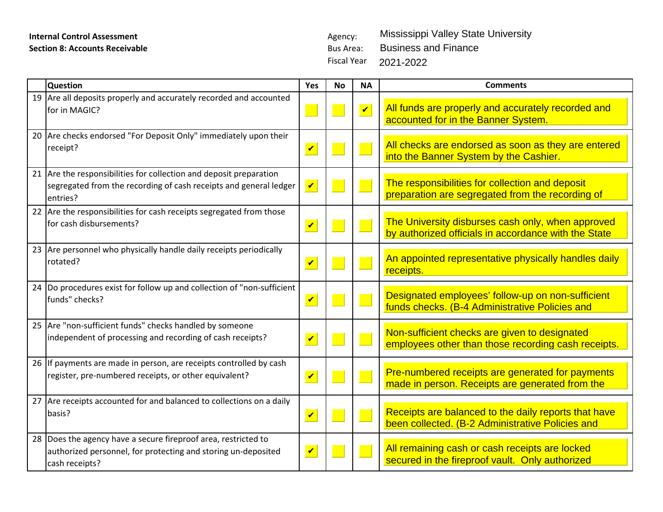# **Internal Control Assessment** Agency: **Section 8: Accounts Receivable Bus Area: Bus Area: Bus Area:**

Fiscal Year 2021-2022Mississippi Valley State University Business and Finance

|    | <b>Question</b>                                                                                                                                     | Yes                        | <b>No</b> | <b>NA</b>            | <b>Comments</b>                                                                                           |
|----|-----------------------------------------------------------------------------------------------------------------------------------------------------|----------------------------|-----------|----------------------|-----------------------------------------------------------------------------------------------------------|
|    | 19 Are all deposits properly and accurately recorded and accounted<br>for in MAGIC?                                                                 |                            |           | $\blacktriangledown$ | All funds are properly and accurately recorded and<br>accounted for in the Banner System.                 |
|    | 20 Are checks endorsed "For Deposit Only" immediately upon their<br>receipt?                                                                        | $\overline{\mathbf{v}}$    |           |                      | All checks are endorsed as soon as they are entered<br>into the Banner System by the Cashier.             |
|    | 21 Are the responsibilities for collection and deposit preparation<br>segregated from the recording of cash receipts and general ledger<br>entries? | $\blacktriangledown$       |           |                      | The responsibilities for collection and deposit<br>preparation are segregated from the recording of       |
|    | 22 Are the responsibilities for cash receipts segregated from those<br>for cash disbursements?                                                      | $\overline{\mathbf{v}}$    |           |                      | The University disburses cash only, when approved<br>by authorized officials in accordance with the State |
|    | 23 Are personnel who physically handle daily receipts periodically<br>rotated?                                                                      | $\overline{\mathbf{v}}$    |           |                      | An appointed representative physically handles daily<br>receipts.                                         |
| 24 | Do procedures exist for follow up and collection of "non-sufficient"<br>funds" checks?                                                              | $\overline{\mathbf{v}}$    |           |                      | Designated employees' follow-up on non-sufficient<br>funds checks. (B-4 Administrative Policies and       |
|    | 25 Are "non-sufficient funds" checks handled by someone<br>independent of processing and recording of cash receipts?                                | $\overline{\mathbf{v}}$    |           |                      | Non-sufficient checks are given to designated<br>employees other than those recording cash receipts.      |
|    | 26 If payments are made in person, are receipts controlled by cash<br>register, pre-numbered receipts, or other equivalent?                         | $\overline{\mathbf{v}}$    |           |                      | Pre-numbered receipts are generated for payments<br>made in person. Receipts are generated from the       |
|    | 27 Are receipts accounted for and balanced to collections on a daily<br>basis?                                                                      | $\boldsymbol{\mathcal{U}}$ |           |                      | Receipts are balanced to the daily reports that have<br>been collected. (B-2 Administrative Policies and  |
|    | 28 Does the agency have a secure fireproof area, restricted to<br>authorized personnel, for protecting and storing un-deposited<br>cash receipts?   | $\overline{\mathbf{v}}$    |           |                      | All remaining cash or cash receipts are locked<br>secured in the fireproof vault. Only authorized         |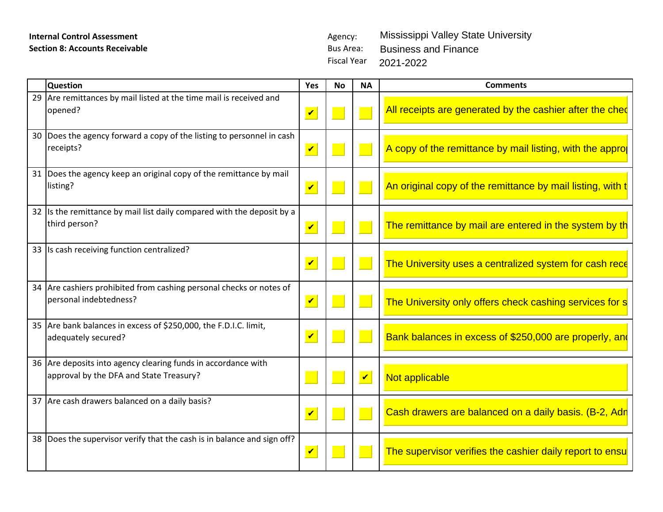# **Internal Control Assessment** Agency: **Section 8: Accounts Receivable Bus Area: Bus Area: Bus Area:**

Fiscal Year 2021-2022Mississippi Valley State University Business and Finance

| 29 Are remittances by mail listed at the time mail is received and<br>All receipts are generated by the cashier after the ched<br>opened?<br>30 Does the agency forward a copy of the listing to personnel in cash<br>  A copy of the remittance by mail listing, with the appro<br>receipts?<br>31 Does the agency keep an original copy of the remittance by mail<br>$\frac{1}{2}$ An original copy of the remittance by mail listing, with t<br>listing?<br>If $\vert$ is the remittance by mail list daily compared with the deposit by a $\vert$<br>third person?<br>The remittance by mail are entered in the system by th<br>33 Is cash receiving function centralized?<br>The University uses a centralized system for cash rece<br>$\vert \mathbf{v} \vert \vert$<br>34 Are cashiers prohibited from cashing personal checks or notes of<br>personal indebtedness?<br>$\vert\bm{\mathsf{v}}\vert\vert$<br>The University only offers check cashing services for s<br>35 Are bank balances in excess of \$250,000, the F.D.I.C. limit,<br><b>Bank balances in excess of \$250,000 are properly, and</b><br>$\vert\bm{\mathsf{v}}\vert\vert\vert$<br>adequately secured?<br>36 Are deposits into agency clearing funds in accordance with<br>approval by the DFA and State Treasury?<br>V Not applicable<br>37 Are cash drawers balanced on a daily basis?<br>  Cash drawers are balanced on a daily basis. (B-2, Adr<br>38 Does the supervisor verify that the cash is in balance and sign off?<br>$\vert\,\,\vert$ The supervisor verifies the cashier daily report to ensu | <b>Question</b> | Yes No NA | <b>Comments</b> |
|--------------------------------------------------------------------------------------------------------------------------------------------------------------------------------------------------------------------------------------------------------------------------------------------------------------------------------------------------------------------------------------------------------------------------------------------------------------------------------------------------------------------------------------------------------------------------------------------------------------------------------------------------------------------------------------------------------------------------------------------------------------------------------------------------------------------------------------------------------------------------------------------------------------------------------------------------------------------------------------------------------------------------------------------------------------------------------------------------------------------------------------------------------------------------------------------------------------------------------------------------------------------------------------------------------------------------------------------------------------------------------------------------------------------------------------------------------------------------------------------------------------------------------------------------------------------------------------|-----------------|-----------|-----------------|
|                                                                                                                                                                                                                                                                                                                                                                                                                                                                                                                                                                                                                                                                                                                                                                                                                                                                                                                                                                                                                                                                                                                                                                                                                                                                                                                                                                                                                                                                                                                                                                                      |                 |           |                 |
|                                                                                                                                                                                                                                                                                                                                                                                                                                                                                                                                                                                                                                                                                                                                                                                                                                                                                                                                                                                                                                                                                                                                                                                                                                                                                                                                                                                                                                                                                                                                                                                      |                 |           |                 |
|                                                                                                                                                                                                                                                                                                                                                                                                                                                                                                                                                                                                                                                                                                                                                                                                                                                                                                                                                                                                                                                                                                                                                                                                                                                                                                                                                                                                                                                                                                                                                                                      |                 |           |                 |
|                                                                                                                                                                                                                                                                                                                                                                                                                                                                                                                                                                                                                                                                                                                                                                                                                                                                                                                                                                                                                                                                                                                                                                                                                                                                                                                                                                                                                                                                                                                                                                                      |                 |           |                 |
|                                                                                                                                                                                                                                                                                                                                                                                                                                                                                                                                                                                                                                                                                                                                                                                                                                                                                                                                                                                                                                                                                                                                                                                                                                                                                                                                                                                                                                                                                                                                                                                      |                 |           |                 |
|                                                                                                                                                                                                                                                                                                                                                                                                                                                                                                                                                                                                                                                                                                                                                                                                                                                                                                                                                                                                                                                                                                                                                                                                                                                                                                                                                                                                                                                                                                                                                                                      |                 |           |                 |
|                                                                                                                                                                                                                                                                                                                                                                                                                                                                                                                                                                                                                                                                                                                                                                                                                                                                                                                                                                                                                                                                                                                                                                                                                                                                                                                                                                                                                                                                                                                                                                                      |                 |           |                 |
|                                                                                                                                                                                                                                                                                                                                                                                                                                                                                                                                                                                                                                                                                                                                                                                                                                                                                                                                                                                                                                                                                                                                                                                                                                                                                                                                                                                                                                                                                                                                                                                      |                 |           |                 |
|                                                                                                                                                                                                                                                                                                                                                                                                                                                                                                                                                                                                                                                                                                                                                                                                                                                                                                                                                                                                                                                                                                                                                                                                                                                                                                                                                                                                                                                                                                                                                                                      |                 |           |                 |
|                                                                                                                                                                                                                                                                                                                                                                                                                                                                                                                                                                                                                                                                                                                                                                                                                                                                                                                                                                                                                                                                                                                                                                                                                                                                                                                                                                                                                                                                                                                                                                                      |                 |           |                 |
|                                                                                                                                                                                                                                                                                                                                                                                                                                                                                                                                                                                                                                                                                                                                                                                                                                                                                                                                                                                                                                                                                                                                                                                                                                                                                                                                                                                                                                                                                                                                                                                      |                 |           |                 |
|                                                                                                                                                                                                                                                                                                                                                                                                                                                                                                                                                                                                                                                                                                                                                                                                                                                                                                                                                                                                                                                                                                                                                                                                                                                                                                                                                                                                                                                                                                                                                                                      |                 |           |                 |
|                                                                                                                                                                                                                                                                                                                                                                                                                                                                                                                                                                                                                                                                                                                                                                                                                                                                                                                                                                                                                                                                                                                                                                                                                                                                                                                                                                                                                                                                                                                                                                                      |                 |           |                 |
|                                                                                                                                                                                                                                                                                                                                                                                                                                                                                                                                                                                                                                                                                                                                                                                                                                                                                                                                                                                                                                                                                                                                                                                                                                                                                                                                                                                                                                                                                                                                                                                      |                 |           |                 |
|                                                                                                                                                                                                                                                                                                                                                                                                                                                                                                                                                                                                                                                                                                                                                                                                                                                                                                                                                                                                                                                                                                                                                                                                                                                                                                                                                                                                                                                                                                                                                                                      |                 |           |                 |
|                                                                                                                                                                                                                                                                                                                                                                                                                                                                                                                                                                                                                                                                                                                                                                                                                                                                                                                                                                                                                                                                                                                                                                                                                                                                                                                                                                                                                                                                                                                                                                                      |                 |           |                 |
|                                                                                                                                                                                                                                                                                                                                                                                                                                                                                                                                                                                                                                                                                                                                                                                                                                                                                                                                                                                                                                                                                                                                                                                                                                                                                                                                                                                                                                                                                                                                                                                      |                 |           |                 |
|                                                                                                                                                                                                                                                                                                                                                                                                                                                                                                                                                                                                                                                                                                                                                                                                                                                                                                                                                                                                                                                                                                                                                                                                                                                                                                                                                                                                                                                                                                                                                                                      |                 |           |                 |
|                                                                                                                                                                                                                                                                                                                                                                                                                                                                                                                                                                                                                                                                                                                                                                                                                                                                                                                                                                                                                                                                                                                                                                                                                                                                                                                                                                                                                                                                                                                                                                                      |                 |           |                 |
|                                                                                                                                                                                                                                                                                                                                                                                                                                                                                                                                                                                                                                                                                                                                                                                                                                                                                                                                                                                                                                                                                                                                                                                                                                                                                                                                                                                                                                                                                                                                                                                      |                 |           |                 |
|                                                                                                                                                                                                                                                                                                                                                                                                                                                                                                                                                                                                                                                                                                                                                                                                                                                                                                                                                                                                                                                                                                                                                                                                                                                                                                                                                                                                                                                                                                                                                                                      |                 |           |                 |
|                                                                                                                                                                                                                                                                                                                                                                                                                                                                                                                                                                                                                                                                                                                                                                                                                                                                                                                                                                                                                                                                                                                                                                                                                                                                                                                                                                                                                                                                                                                                                                                      |                 |           |                 |
|                                                                                                                                                                                                                                                                                                                                                                                                                                                                                                                                                                                                                                                                                                                                                                                                                                                                                                                                                                                                                                                                                                                                                                                                                                                                                                                                                                                                                                                                                                                                                                                      |                 |           |                 |
|                                                                                                                                                                                                                                                                                                                                                                                                                                                                                                                                                                                                                                                                                                                                                                                                                                                                                                                                                                                                                                                                                                                                                                                                                                                                                                                                                                                                                                                                                                                                                                                      |                 |           |                 |
|                                                                                                                                                                                                                                                                                                                                                                                                                                                                                                                                                                                                                                                                                                                                                                                                                                                                                                                                                                                                                                                                                                                                                                                                                                                                                                                                                                                                                                                                                                                                                                                      |                 |           |                 |
|                                                                                                                                                                                                                                                                                                                                                                                                                                                                                                                                                                                                                                                                                                                                                                                                                                                                                                                                                                                                                                                                                                                                                                                                                                                                                                                                                                                                                                                                                                                                                                                      |                 |           |                 |
|                                                                                                                                                                                                                                                                                                                                                                                                                                                                                                                                                                                                                                                                                                                                                                                                                                                                                                                                                                                                                                                                                                                                                                                                                                                                                                                                                                                                                                                                                                                                                                                      |                 |           |                 |